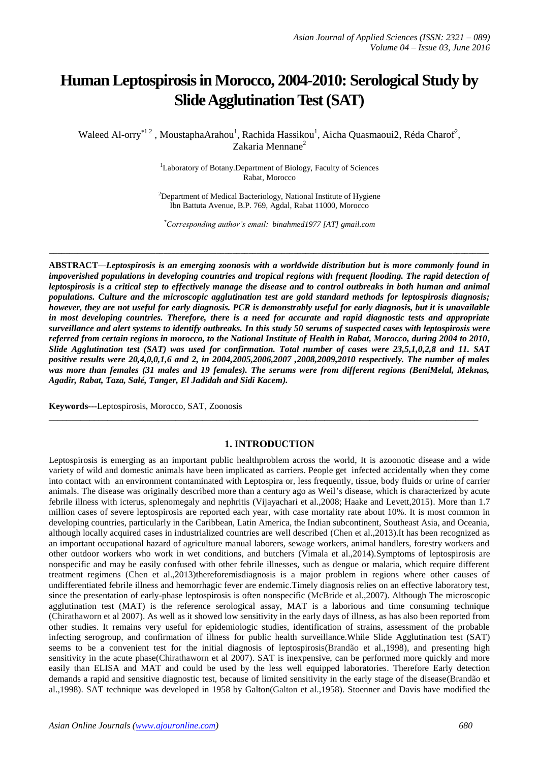# **Human Leptospirosis in Morocco, 2004-2010: Serological Study by Slide Agglutination Test (SAT)**

Waleed Al-orry<sup>\*12</sup>, MoustaphaArahou<sup>1</sup>, Rachida Hassikou<sup>1</sup>, Aicha Quasmaoui2, Réda Charof<sup>2</sup>, Zakaria Mennane<sup>2</sup>

> <sup>1</sup>Laboratory of Botany.Department of Biology, Faculty of Sciences Rabat, Morocco

 $2$ Department of Medical Bacteriology, National Institute of Hygiene Ibn Battuta Avenue, B.P. 769, Agdal, Rabat 11000, Morocco

*\*Corresponding author's email: binahmed1977 [AT] gmail.com*

*\_\_\_\_\_\_\_\_\_\_\_\_\_\_\_\_\_\_\_\_\_\_\_\_\_\_\_\_\_\_\_\_\_\_\_\_\_\_\_\_\_\_\_\_\_\_\_\_\_\_\_\_\_\_\_\_\_\_\_\_\_\_\_\_\_\_\_\_\_\_\_\_\_\_\_\_\_\_\_\_\_\_\_\_\_\_\_\_\_\_\_\_\_\_\_\_\_\_\_\_\_\_\_\_\_\_\_\_*

**ABSTRACT***—Leptospirosis is an emerging zoonosis with a worldwide distribution but is more commonly found in impoverished populations in developing countries and tropical regions with frequent flooding. The rapid detection of leptospirosis is a critical step to effectively manage the disease and to control outbreaks in both human and animal populations. Culture and the microscopic agglutination test are gold standard methods for leptospirosis diagnosis; however, they are not useful for early diagnosis. PCR is demonstrably useful for early diagnosis, but it is unavailable in most developing countries. Therefore, there is a need for accurate and rapid diagnostic tests and appropriate surveillance and alert systems to identify outbreaks. In this study 50 serums of suspected cases with leptospirosis were referred from certain regions in morocco, to the National Institute of Health in Rabat, Morocco, during 2004 to 2010, Slide Agglutination test (SAT) was used for confirmation. Total number of cases were 23,5,1,0,2,8 and 11. SAT positive results were 20,4,0,0,1,6 and 2, in 2004,2005,2006,2007 ,2008,2009,2010 respectively. The number of males was more than females (31 males and 19 females). The serums were from different regions (BeniMelal, Meknas, Agadir, Rabat, Taza, Salé, Tanger, El Jadidah and Sidi Kacem).*

**Keywords**---Leptospirosis, Morocco, SAT, Zoonosis

#### **1. INTRODUCTION**

\_\_\_\_\_\_\_\_\_\_\_\_\_\_\_\_\_\_\_\_\_\_\_\_\_\_\_\_\_\_\_\_\_\_\_\_\_\_\_\_\_\_\_\_\_\_\_\_\_\_\_\_\_\_\_\_\_\_\_\_\_\_\_\_\_\_\_\_\_\_\_\_\_\_\_\_\_\_\_\_\_\_\_\_\_\_\_\_\_\_\_\_\_\_\_

Leptospirosis is emerging as an important public healthproblem across the world, It is azoonotic disease and a wide variety of wild and domestic animals have been implicated as carriers. People get infected accidentally when they come into contact with an environment contaminated with Leptospira or, less frequently, tissue, body fluids or urine of carrier animals. The disease was originally described more than a century ago as Weil's disease, which is characterized by acute febrile illness with icterus, splenomegaly and nephritis (Vijayachari et al.,2008; Haake and Levett,2015). More than 1.7 million cases of severe leptospirosis are reported each year, with case mortality rate about 10%. It is most common in developing countries, particularly in the Caribbean, Latin America, the Indian subcontinent, Southeast Asia, and Oceania, although locally acquired cases in industrialized countries are well described (Chen et al.,2013).It has been recognized as an important occupational hazard of agriculture manual laborers, sewage workers, animal handlers, forestry workers and other outdoor workers who work in wet conditions, and butchers (Vimala et al.,2014).Symptoms of leptospirosis are nonspecific and may be easily confused with other febrile illnesses, such as dengue or malaria, which require different treatment regimens (Chen et al.,2013)thereforemisdiagnosis is a major problem in regions where other causes of undifferentiated febrile illness and hemorrhagic fever are endemic.Timely diagnosis relies on an effective laboratory test, since the presentation of early-phase leptospirosis is often nonspecific (McBride et al.,2007). Although The microscopic agglutination test (MAT) is the reference serological assay, MAT is a laborious and time consuming technique (Chirathaworn et al 2007). As well as it showed low sensitivity in the early days of illness, as has also been reported from other studies. It remains very useful for epidemiologic studies, identification of strains, assessment of the probable infecting serogroup, and confirmation of illness for public health surveillance.While Slide Agglutination test (SAT) seems to be a convenient test for the initial diagnosis of leptospirosis(Brandão et al.,1998), and presenting high sensitivity in the acute phase(Chirathaworn et al 2007). SAT is inexpensive, can be performed more quickly and more easily than ELISA and MAT and could be used by the less well equipped laboratories. Therefore Early detection demands a rapid and sensitive diagnostic test, because of limited sensitivity in the early stage of the disease(Brandão et al.,1998). SAT technique was developed in 1958 by Galton(Galton et al.,1958). Stoenner and Davis have modified the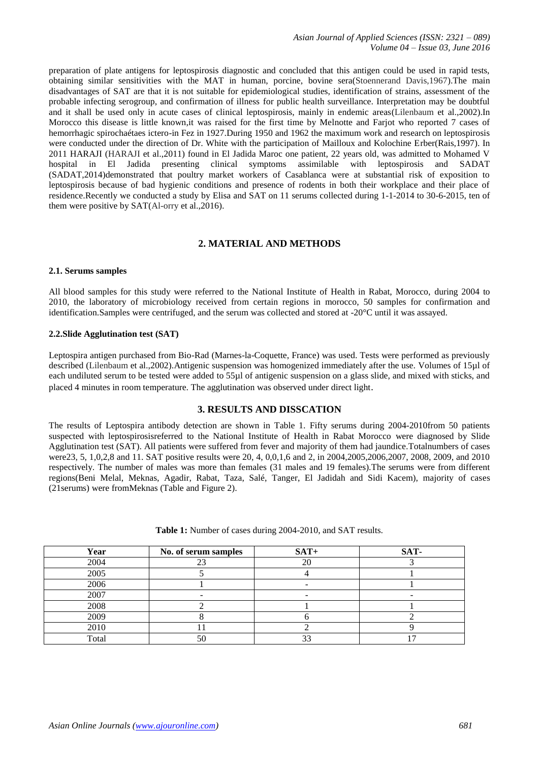preparation of plate antigens for leptospirosis diagnostic and concluded that this antigen could be used in rapid tests, obtaining similar sensitivities with the MAT in human, porcine, bovine sera(Stoennerand Davis,1967).The main disadvantages of SAT are that it is not suitable for epidemiological studies, identification of strains, assessment of the probable infecting serogroup, and confirmation of illness for public health surveillance. Interpretation may be doubtful and it shall be used only in acute cases of clinical leptospirosis, mainly in endemic areas(Lilenbaum et al.,2002).In Morocco this disease is little known,it was raised for the first time by Melnotte and Farjot who reported 7 cases of hemorrhagic spirochaétaes ictero-in Fez in 1927.During 1950 and 1962 the maximum work and research on leptospirosis were conducted under the direction of Dr. White with the participation of Mailloux and Kolochine Erber(Rais,1997). In 2011 HARAJI (HARAJI et al.,2011) found in El Jadida Maroc one patient, 22 years old, was admitted to Mohamed V hospital in El Jadida presenting clinical symptoms assimilable with leptospirosis and SADAT (SADAT,2014)demonstrated that poultry market workers of Casablanca were at substantial risk of exposition to leptospirosis because of bad hygienic conditions and presence of rodents in both their workplace and their place of residence.Recently we conducted a study by Elisa and SAT on 11 serums collected during 1-1-2014 to 30-6-2015, ten of them were positive by SAT(Al-orry et al.,2016).

## **2. MATERIAL AND METHODS**

#### **2.1. Serums samples**

All blood samples for this study were referred to the National Institute of Health in Rabat, Morocco, during 2004 to 2010, the laboratory of microbiology received from certain regions in morocco, 50 samples for confirmation and identification.Samples were centrifuged, and the serum was collected and stored at -20°C until it was assayed.

#### **2.2.Slide Agglutination test (SAT)**

Leptospira antigen purchased from Bio-Rad (Marnes-la-Coquette, France) was used. Tests were performed as previously described (Lilenbaum et al.,2002).Antigenic suspension was homogenized immediately after the use. Volumes of 15µl of each undiluted serum to be tested were added to 55µl of antigenic suspension on a glass slide, and mixed with sticks, and placed 4 minutes in room temperature. The agglutination was observed under direct light.

#### **3. RESULTS AND DISSCATION**

The results of Leptospira antibody detection are shown in Table 1. Fifty serums during 2004-2010from 50 patients suspected with leptospirosisreferred to the National Institute of Health in Rabat Morocco were diagnosed by Slide Agglutination test (SAT). All patients were suffered from fever and majority of them had jaundice.Totalnumbers of cases were23, 5, 1,0,2,8 and 11. SAT positive results were 20, 4, 0,0,1,6 and 2, in 2004,2005,2006,2007, 2008, 2009, and 2010 respectively. The number of males was more than females (31 males and 19 females).The serums were from different regions(Beni Melal, Meknas, Agadir, Rabat, Taza, Salé, Tanger, El Jadidah and Sidi Kacem), majority of cases (21serums) were fromMeknas (Table and Figure 2).

| Year  | No. of serum samples | $SAT+$ | SAT- |
|-------|----------------------|--------|------|
| 2004  |                      |        |      |
| 2005  |                      |        |      |
| 2006  |                      |        |      |
| 2007  |                      |        |      |
| 2008  |                      |        |      |
| 2009  |                      |        |      |
| 2010  |                      |        |      |
| Total | 50                   | $\sim$ |      |

**Table 1:** Number of cases during 2004-2010, and SAT results.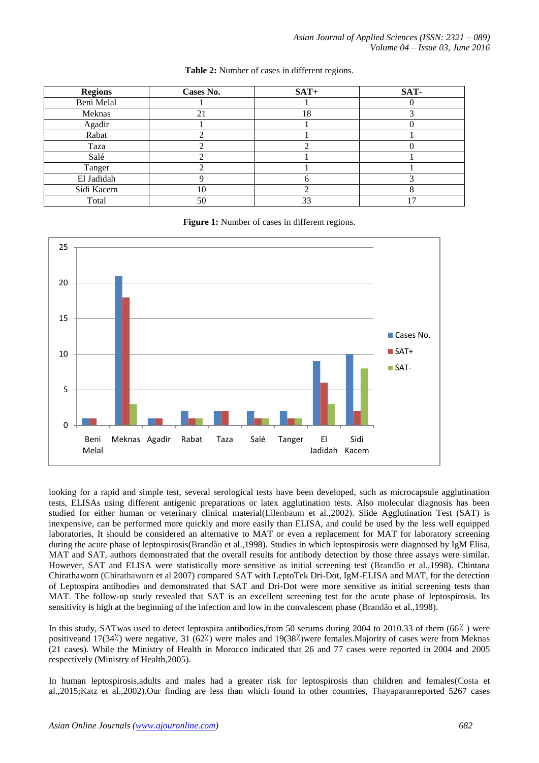| <b>Regions</b> | Cases No. | $SAT+$ | SAT- |
|----------------|-----------|--------|------|
| Beni Melal     |           |        |      |
| Meknas         | 21        | 18     |      |
| Agadir         |           |        |      |
| Rabat          |           |        |      |
| Taza           |           |        |      |
| Salé           |           |        |      |
| Tanger         |           |        |      |
| El Jadidah     |           | n      |      |
| Sidi Kacem     | 10        |        |      |
| Total          | 50        | 33     |      |

#### **Table 2:** Number of cases in different regions.

Figure 1: Number of cases in different regions.



looking for a rapid and simple test, several serological tests have been developed, such as microcapsule agglutination tests, ELISAs using different antigenic preparations or latex agglutination tests. Also molecular diagnosis has been studied for either human or veterinary clinical material(Lilenbaum et al.,2002). Slide Agglutination Test (SAT) is inexpensive, can be performed more quickly and more easily than ELISA, and could be used by the less well equipped laboratories, It should be considered an alternative to MAT or even a replacement for MAT for laboratory screening during the acute phase of leptospirosis(Brandão et al.,1998). Studies in which leptospirosis were diagnosed by IgM Elisa, MAT and SAT, authors demonstrated that the overall results for antibody detection by those three assays were similar. However, SAT and ELISA were statistically more sensitive as initial screening test (Brandão et al.,1998). Chintana Chirathaworn (Chirathaworn et al 2007) compared SAT with LeptoTek Dri-Dot, IgM-ELISA and MAT, for the detection of Leptospira antibodies and demonstrated that SAT and Dri-Dot were more sensitive as initial screening tests than MAT. The follow-up study revealed that SAT is an excellent screening test for the acute phase of leptospirosis. Its sensitivity is high at the beginning of the infection and low in the convalescent phase (Brandão et al.,1998).

In this study, SATwas used to detect leptospira antibodies,from 50 serums during 2004 to 2010.33 of them (66٪ ) were positiveand 17(34<sup>/</sup>) were negative, 31 (62<sup>/</sup>) were males and 19(38<sup>/</sup>)were females. Majority of cases were from Meknas (21 cases). While the Ministry of Health in Morocco indicated that 26 and 77 cases were reported in 2004 and 2005 respectively (Ministry of Health,2005).

In human leptospirosis,adults and males had a greater risk for leptospirosis than children and females(Costa et al.,2015;Katz et al.,2002).Our finding are less than which found in other countries, Thayaparanreported 5267 cases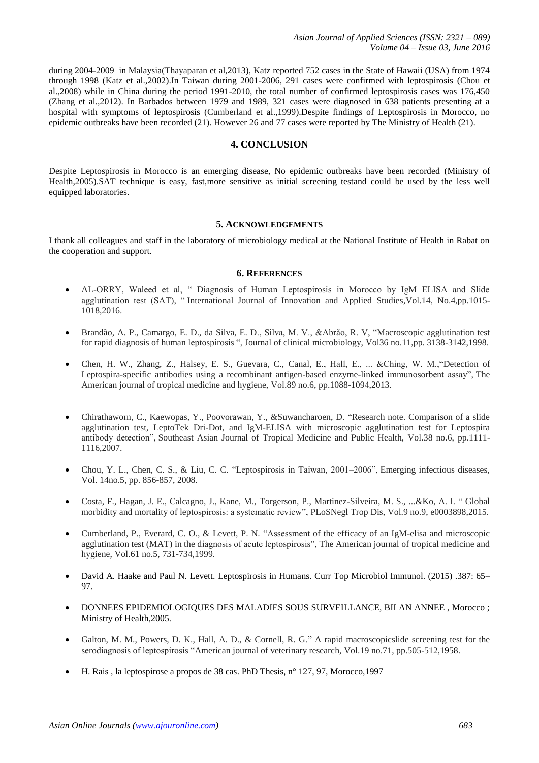during 2004-2009 in Malaysia(Thayaparan et al,2013), Katz reported 752 cases in the State of Hawaii (USA) from 1974 through 1998 (Katz et al.,2002).In Taiwan during 2001-2006, 291 cases were confirmed with leptospirosis (Chou et al.,2008) while in China during the period 1991-2010, the total number of confirmed leptospirosis cases was 176,450 (Zhang et al.,2012). In Barbados between 1979 and 1989, 321 cases were diagnosed in 638 patients presenting at a hospital with symptoms of leptospirosis (Cumberland et al.,1999).Despite findings of Leptospirosis in Morocco, no epidemic outbreaks have been recorded (21). However 26 and 77 cases were reported by The Ministry of Health (21).

### **4. CONCLUSION**

Despite Leptospirosis in Morocco is an emerging disease, No epidemic outbreaks have been recorded (Ministry of Health,2005).SAT technique is easy, fast,more sensitive as initial screening testand could be used by the less well equipped laboratories.

#### **5. ACKNOWLEDGEMENTS**

I thank all colleagues and staff in the laboratory of microbiology medical at the National Institute of Health in Rabat on the cooperation and support.

#### **6. REFERENCES**

- AL-ORRY, Waleed et al, " Diagnosis of Human Leptospirosis in Morocco by IgM ELISA and Slide agglutination test (SAT), "International Journal of Innovation and Applied Studies, Vol.14, No.4,pp.1015-1018,2016.
- Brandão, A. P., Camargo, E. D., da Silva, E. D., Silva, M. V., &Abrão, R. V, "Macroscopic agglutination test for rapid diagnosis of human leptospirosis ", Journal of clinical microbiology, Vol36 no.11,pp. 3138-3142,1998.
- Chen, H. W., Zhang, Z., Halsey, E. S., Guevara, C., Canal, E., Hall, E., ... &Ching, W. M.,"Detection of Leptospira-specific antibodies using a recombinant antigen-based enzyme-linked immunosorbent assay", The American journal of tropical medicine and hygiene, Vol.89 no.6, pp.1088-1094,2013.
- Chirathaworn, C., Kaewopas, Y., Poovorawan, Y., &Suwancharoen, D. "Research note. Comparison of a slide agglutination test, LeptoTek Dri-Dot, and IgM-ELISA with microscopic agglutination test for Leptospira antibody detection", Southeast Asian Journal of Tropical Medicine and Public Health, Vol.38 no.6, pp.1111- 1116,2007.
- Chou, Y. L., Chen, C. S., & Liu, C. C. "Leptospirosis in Taiwan, 2001–2006", Emerging infectious diseases, Vol. 14no.5, pp. 856-857, 2008.
- Costa, F., Hagan, J. E., Calcagno, J., Kane, M., Torgerson, P., Martinez-Silveira, M. S., ...&Ko, A. I. " Global morbidity and mortality of leptospirosis: a systematic review", PLoSNegl Trop Dis, Vol.9 no.9, e0003898,2015.
- Cumberland, P., Everard, C. O., & Levett, P. N. "Assessment of the efficacy of an IgM-elisa and microscopic agglutination test (MAT) in the diagnosis of acute leptospirosis", The American journal of tropical medicine and hygiene, Vol.61 no.5, 731-734,1999.
- David A. Haake and Paul N. Levett. Leptospirosis in Humans. Curr Top Microbiol Immunol. (2015) .387: 65– 97.
- DONNEES EPIDEMIOLOGIQUES DES MALADIES SOUS SURVEILLANCE, BILAN ANNEE , Morocco ; Ministry of Health,2005.
- Galton, M. M., Powers, D. K., Hall, A. D., & Cornell, R. G." A rapid macroscopicslide screening test for the serodiagnosis of leptospirosis "American journal of veterinary research, Vol.19 no.71, pp.505-512,1958.
- H. Rais , la leptospirose a propos de 38 cas. PhD Thesis, n° 127, 97, Morocco,1997